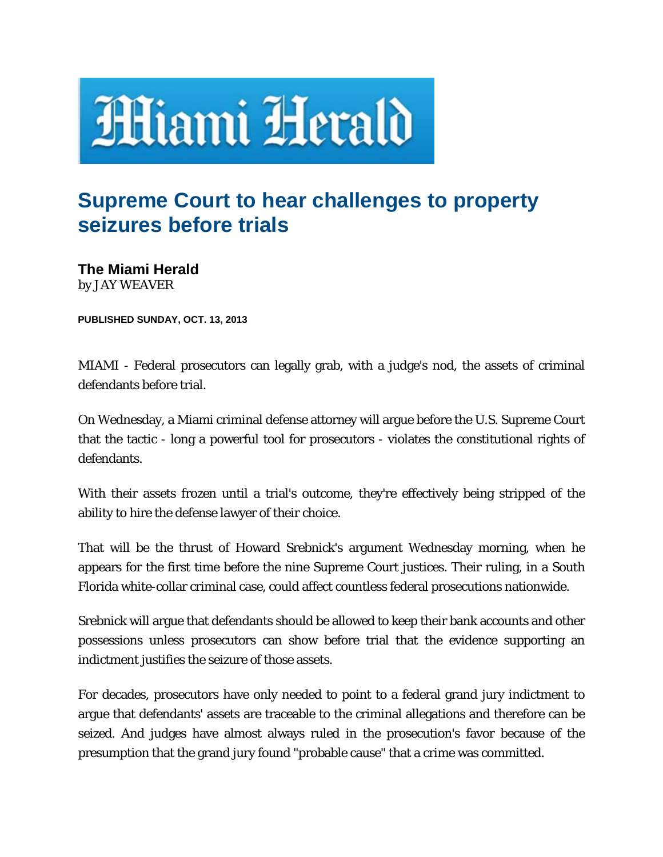

## **Supreme Court to hear challenges to property seizures before trials**

**The Miami Herald**  by JAY WEAVER

**PUBLISHED SUNDAY, OCT. 13, 2013** 

MIAMI - Federal prosecutors can legally grab, with a judge's nod, the assets of criminal defendants before trial.

On Wednesday, a Miami criminal defense attorney will argue before the U.S. Supreme Court that the tactic - long a powerful tool for prosecutors - violates the constitutional rights of defendants.

With their assets frozen until a trial's outcome, they're effectively being stripped of the ability to hire the defense lawyer of their choice.

That will be the thrust of Howard Srebnick's argument Wednesday morning, when he appears for the first time before the nine Supreme Court justices. Their ruling, in a South Florida white-collar criminal case, could affect countless federal prosecutions nationwide.

Srebnick will argue that defendants should be allowed to keep their bank accounts and other possessions unless prosecutors can show before trial that the evidence supporting an indictment justifies the seizure of those assets.

For decades, prosecutors have only needed to point to a federal grand jury indictment to argue that defendants' assets are traceable to the criminal allegations and therefore can be seized. And judges have almost always ruled in the prosecution's favor because of the presumption that the grand jury found "probable cause" that a crime was committed.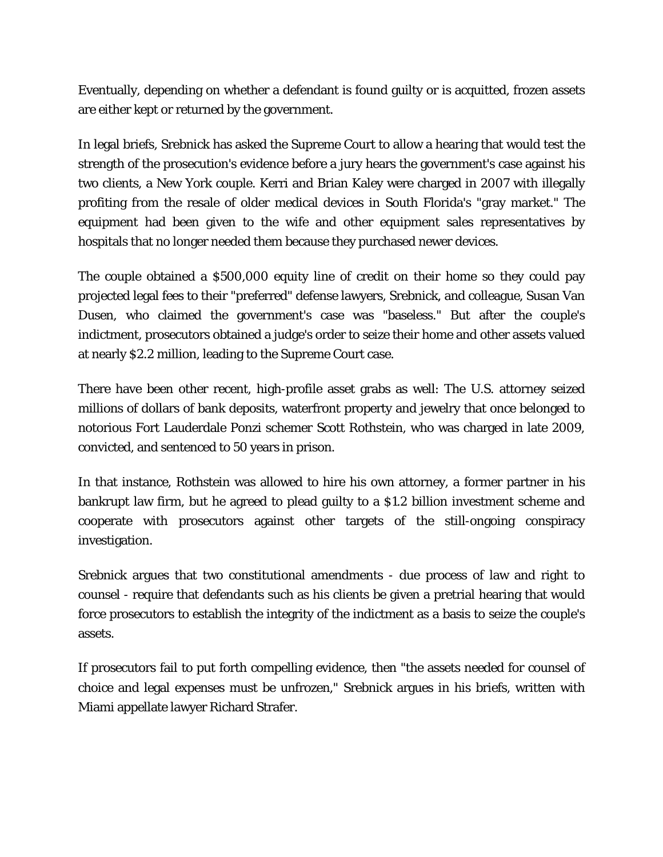Eventually, depending on whether a defendant is found guilty or is acquitted, frozen assets are either kept or returned by the government.

In legal briefs, Srebnick has asked the Supreme Court to allow a hearing that would test the strength of the prosecution's evidence before a jury hears the government's case against his two clients, a New York couple. Kerri and Brian Kaley were charged in 2007 with illegally profiting from the resale of older medical devices in South Florida's "gray market." The equipment had been given to the wife and other equipment sales representatives by hospitals that no longer needed them because they purchased newer devices.

The couple obtained a \$500,000 equity line of credit on their home so they could pay projected legal fees to their "preferred" defense lawyers, Srebnick, and colleague, Susan Van Dusen, who claimed the government's case was "baseless." But after the couple's indictment, prosecutors obtained a judge's order to seize their home and other assets valued at nearly \$2.2 million, leading to the Supreme Court case.

There have been other recent, high-profile asset grabs as well: The U.S. attorney seized millions of dollars of bank deposits, waterfront property and jewelry that once belonged to notorious Fort Lauderdale Ponzi schemer Scott Rothstein, who was charged in late 2009, convicted, and sentenced to 50 years in prison.

In that instance, Rothstein was allowed to hire his own attorney, a former partner in his bankrupt law firm, but he agreed to plead guilty to a \$1.2 billion investment scheme and cooperate with prosecutors against other targets of the still-ongoing conspiracy investigation.

Srebnick argues that two constitutional amendments - due process of law and right to counsel - require that defendants such as his clients be given a pretrial hearing that would force prosecutors to establish the integrity of the indictment as a basis to seize the couple's assets.

If prosecutors fail to put forth compelling evidence, then "the assets needed for counsel of choice and legal expenses must be unfrozen," Srebnick argues in his briefs, written with Miami appellate lawyer Richard Strafer.